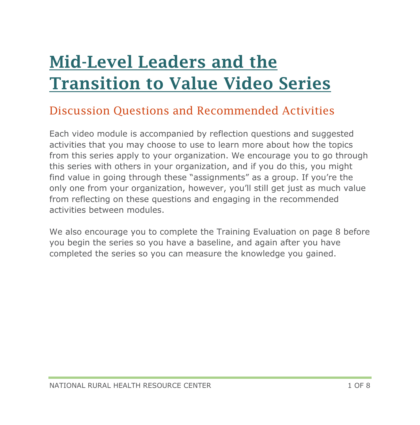# [Mid-Level Leaders and the](https://www.ruralcenter.org/resource-library/mid-level-leaders-and-the-transition-to-value-video-series)  [Transition to Value Video Series](https://www.ruralcenter.org/resource-library/mid-level-leaders-and-the-transition-to-value-video-series)

#### Discussion Questions and Recommended Activities

Each video module is accompanied by reflection questions and suggested activities that you may choose to use to learn more about how the topics from this series apply to your organization. We encourage you to go through this series with others in your organization, and if you do this, you might find value in going through these "assignments" as a group. If you're the only one from your organization, however, you'll still get just as much value from reflecting on these questions and engaging in the recommended activities between modules.

We also encourage you to complete the Training Evaluation on page 8 before you begin the series so you have a baseline, and again after you have completed the series so you can measure the knowledge you gained.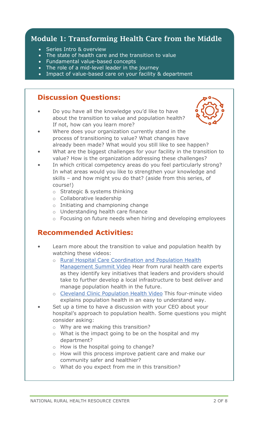## Module 1: Transforming Health Care from the Middle

- Series Intro & overview
- The state of health care and the transition to value
- Fundamental value-based concepts
- The role of a mid-level leader in the journey
- Impact of value-based care on your facility & department

#### **Discussion Questions:** The total the top of the transition of the transition of the transition to the transition of the transition of the transition of the transition of the transition of the transition of the transition

about the transition to value and population health? • Do you have all the knowledge you'd like to have If not, how can you learn more?



- Where does your organization currently stand in the process of transitioning to value? What changes have already been made? What would you still like to see happen?
- What are the biggest challenges for your facility in the transition to value? How is the organization addressing these challenges?
- In which critical competency areas do you feel particularly strong? skills – and how might you do that? (aside from this series, of are as would you like to strengthen you like to strengthen you like to strengthen your knowledge and skills – and how to strengthen your knowledge and skills – and how to strengthen your knowledge and how to strengthen you In what areas would you like to strengthen your knowledge and course!)
	- o Strategic & systems thinking
- o Collaborative leadership
	- o Initiating and championing change
- o Understanding health care finance
	- o Focusing on future needs when hiring and developing employees

- Learn more about the transition to value and population health by watching these videos:
	- o [Rural Hospital Care Coordination and Population Health](https://www.youtube.com/watch?v=fOQ3rtSHaNw)  [Management Summit Video](https://www.youtube.com/watch?v=fOQ3rtSHaNw) Hear from rural health care experts as they identify key initiatives that leaders and providers should take to further develop a local infrastructure to best deliver and manage population health in the future.
	- o [Cleveland Clinic Population Health Video](https://youtu.be/q78zpwSx2y0) This four-minute video explains population health in an easy to understand way.
- Set up a time to have a discussion with your CEO about your hospital's approach to population health. Some questions you might consider asking:
	- o Why are we making this transition?
	- o What is the impact going to be on the hospital and my department?
	- o How is the hospital going to change?
	- o How will this process improve patient care and make our community safer and healthier?
	- o What do you expect from me in this transition?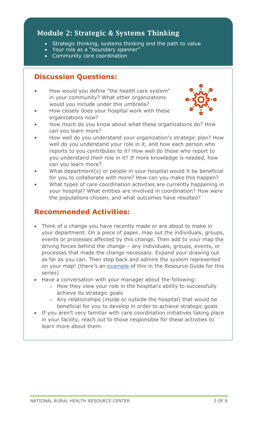# Module 2: Strategic & Systems Thinking

- Strategic thinking, systems thinking and the path to value
- Your role as a "boundary spanner"
- Community care coordination

# **Discussion Questions:**

• How would you define "the health care system" in your community? What other organizations would you include under this umbrella?



- How closely does your hospital work with these organizations now?
- How much do you know about what these organizations do? How can you learn more?
- How well do you understand your organization's strategic plan? How well do you understand your role in it, and how each person who reports to you contributes to it? How well do those who report to you understand *their* role in it? If more knowledge is needed, how can you learn more?
- What department(s) or people in your hospital would it be beneficial for you to collaborate with more? How can you make this happen?
- What types of care coordination activities are currently happening in your hospital? What entities are involved in coordination? How were the populations chosen, and what outcomes have resulted?

- Think of a change you have recently made or are about to make in your department. On a piece of paper, map out the individuals, groups, events or processes affected by this change. Then add to your map the driving forces behind the change – any individuals, groups, events, or processes that made the change necessary. Expand your drawing out as far as you can. Then step back and admire the *system* represented on your map! (there's an [example](https://www.ruralcenter.org/sites/default/files/Module%202%20Systems%20Map%20example%20-%20include%20in%20Resource%20Guide.pdf) of this in the Resource Guide for this series)
- Have a conversation with your manager about the following:
	- o How they view your role in the hospital's ability to successfully achieve its strategic goals
	- o Any relationships (inside or outside the hospital) that would be beneficial for you to develop in order to achieve strategic goals
- If you aren't very familiar with care coordination initiatives taking place in your facility, reach out to those responsible for these activities to learn more about them.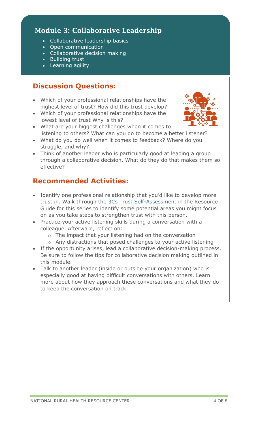# Module 3: Collaborative Leadership

- Collaborative leadership basics
- Open communication
- Collaborative decision making
- **Building trust**
- Learning agility

#### **Discussion Questions:**

- Which of your professional relationships have the highest level of trust? How did this trust develop?
- Which of your professional relationships have the lowest level of trust Why is this?



- What are your biggest challenges when it comes to listening to others? What can you do to become a better listener?
- What do you do well when it comes to feedback? Where do you struggle, and why?
- Think of another leader who is particularly good at leading a group through a collaborative decision. What do they do that makes them so effective?

- Identify one professional relationship that you'd like to develop more trust in. Walk through the [3Cs Trust Self-Assessment](https://ruralcenter.sharepoint.com/tasc/Shared%20Documents/Leadership%20Development/Mid-Level%20Leader%20Education/Handouts/Discussion%20and%20Activities.docx) in the Resource Guide for this series to identify some potential areas you might focus on as you take steps to strengthen trust with this person.
- Practice your active listening skills during a conversation with a colleague. Afterward, reflect on:
	- o The impact that your listening had on the conversation
	- o Any distractions that posed challenges to your active listening
- If the opportunity arises, lead a collaborative decision-making process. Be sure to follow the tips for collaborative decision making outlined in this module.
- Talk to another leader (inside or outside your organization) who is especially good at having difficult conversations with others. Learn more about how they approach these conversations and what they do to keep the conversation on track.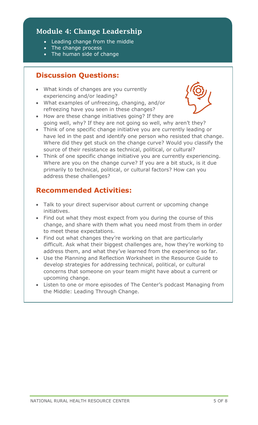# Module 4: Change Leadership

- Leading change from the middle
- The change process
- The human side of change

# **Discussion Questions:**

- What kinds of changes are you currently experiencing and/or leading?
- What examples of unfreezing, changing, and/or refreezing have you seen in these changes?
- How are these change initiatives going? If they are going well, why? If they are not going so well, why aren't they?



- Think of one specific change initiative you are currently leading or have led in the past and identify one person who resisted that change. Where did they get stuck on the change curve? Would you classify the source of their resistance as technical, political, or cultural?
- Think of one specific change initiative you are currently experiencing. Where are you on the change curve? If you are a bit stuck, is it due primarily to technical, political, or cultural factors? How can you address these challenges?

- Talk to your direct supervisor about current or upcoming change initiatives.
- Find out what they most expect from you during the course of this change, and share with them what you need most from them in order to meet these expectations.
- Find out what changes they're working on that are particularly difficult. Ask what their biggest challenges are, how they're working to address them, and what they've learned from the experience so far.
- Use the Planning and Reflection Worksheet in the Resource Guide to develop strategies for addressing technical, political, or cultural concerns that someone on your team might have about a current or upcoming change.
- Listen to one or more episodes of The Center's podcast Managing from the Middle: Leading Through Change.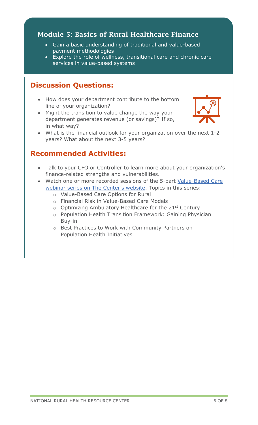# Module 5: Basics of Rural Healthcare Finance

- Gain a basic understanding of traditional and value-based payment methodologies
- Explore the role of wellness, transitional care and chronic care services in value-based systems

#### **Discussion Questions:**

- How does your department contribute to the bottom line of your organization?
- Might the transition to value change the way your department generates revenue (or savings)? If so, in what way?



• What is the financial outlook for your organization over the next 1-2 years? What about the next 3-5 years?

- Talk to your CFO or Controller to learn more about your organization's finance-related strengths and vulnerabilities.
- Watch one or more recorded sessions of the 5-part [Value-Based Care](https://www.ruralcenter.org/resource-library/2021-value-based-care-vbc-webinar-series)  [webinar series on The Center's website.](https://www.ruralcenter.org/resource-library/2021-value-based-care-vbc-webinar-series) Topics in this series:
	- o Value-Based Care Options for Rural
	- o Financial Risk in Value-Based Care Models
	- $\circ$  Optimizing Ambulatory Healthcare for the 21<sup>st</sup> Century
	- o Population Health Transition Framework: Gaining Physician Buy-in
	- o Best Practices to Work with Community Partners on Population Health Initiatives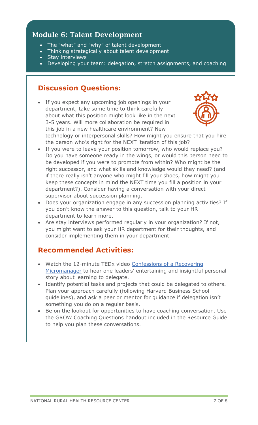# Module 6: Talent Development

- The "what" and "why" of talent development
- Thinking strategically about talent development
- Stay interviews
- Developing your team: delegation, stretch assignments, and coaching

## **Discussion Questions:**

• If you expect any upcoming job openings in your department, take some time to think carefully about what this position might look like in the next 3-5 years. Will more collaboration be required in this job in a new healthcare environment? New technology or interpersonal skills? How might you ensure that you hire the person who's right for the NEXT iteration of this job?



- If you were to leave your position tomorrow, who would replace you? Do you have someone ready in the wings, or would this person need to be developed if you were to promote from within? Who might be the right successor, and what skills and knowledge would they need? (and if there really isn't anyone who might fill your shoes, how might you keep these concepts in mind the NEXT time you fill a position in your department?). Consider having a conversation with your direct supervisor about succession planning.
- Does your organization engage in any succession planning activities? If you don't know the answer to this question, talk to your HR department to learn more.
- Are stay interviews performed regularly in your organization? If not, you might want to ask your HR department for their thoughts, and consider implementing them in your department.

- Watch the 12-minute TEDx video [Confessions of a Recovering](https://www.ted.com/talks/chieh_huang_confessions_of_a_recovering_micromanager#t-665749)  [Micromanager](https://www.ted.com/talks/chieh_huang_confessions_of_a_recovering_micromanager#t-665749) to hear one leaders' entertaining and insightful personal story about learning to delegate.
- Identify potential tasks and projects that could be delegated to others. Plan your approach carefully (following Harvard Business School guidelines), and ask a peer or mentor for guidance if delegation isn't something you do on a regular basis.
- Be on the lookout for opportunities to have coaching conversation. Use the GROW Coaching Questions handout included in the Resource Guide to help you plan these conversations.